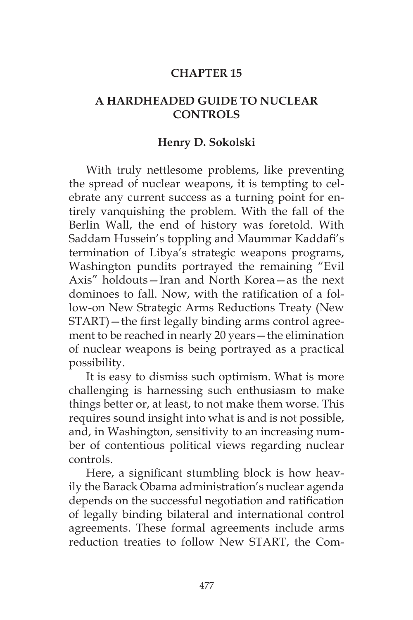# **CHAPTER 15**

# **A HARDHEADED GUIDE TO NUCLEAR CONTROLS**

#### **Henry D. Sokolski**

With truly nettlesome problems, like preventing the spread of nuclear weapons, it is tempting to celebrate any current success as a turning point for entirely vanquishing the problem. With the fall of the Berlin Wall, the end of history was foretold. With Saddam Hussein's toppling and Maummar Kaddafi's termination of Libya's strategic weapons programs, Washington pundits portrayed the remaining "Evil Axis" holdouts—Iran and North Korea—as the next dominoes to fall. Now, with the ratification of a follow-on New Strategic Arms Reductions Treaty (New START)—the first legally binding arms control agreement to be reached in nearly 20 years—the elimination of nuclear weapons is being portrayed as a practical possibility.

It is easy to dismiss such optimism. What is more challenging is harnessing such enthusiasm to make things better or, at least, to not make them worse. This requires sound insight into what is and is not possible, and, in Washington, sensitivity to an increasing number of contentious political views regarding nuclear controls.

Here, a significant stumbling block is how heavily the Barack Obama administration's nuclear agenda depends on the successful negotiation and ratification of legally binding bilateral and international control agreements. These formal agreements include arms reduction treaties to follow New START, the Com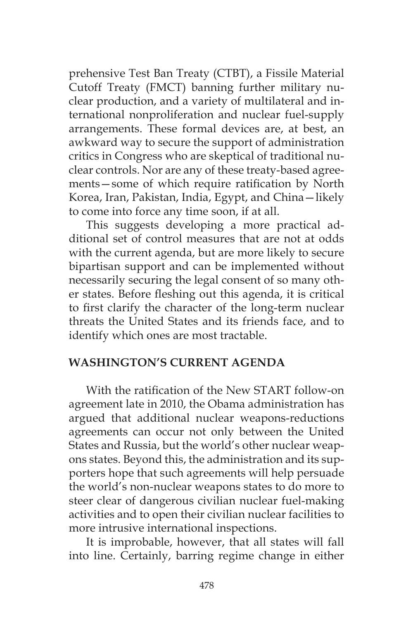prehensive Test Ban Treaty (CTBT), a Fissile Material Cutoff Treaty (FMCT) banning further military nuclear production, and a variety of multilateral and international nonproliferation and nuclear fuel-supply arrangements. These formal devices are, at best, an awkward way to secure the support of administration critics in Congress who are skeptical of traditional nuclear controls. Nor are any of these treaty-based agreements—some of which require ratification by North Korea, Iran, Pakistan, India, Egypt, and China—likely to come into force any time soon, if at all.

This suggests developing a more practical additional set of control measures that are not at odds with the current agenda, but are more likely to secure bipartisan support and can be implemented without necessarily securing the legal consent of so many other states. Before fleshing out this agenda, it is critical to first clarify the character of the long-term nuclear threats the United States and its friends face, and to identify which ones are most tractable.

### **WASHINGTON'S CURRENT AGENDA**

With the ratification of the New START follow-on agreement late in 2010, the Obama administration has argued that additional nuclear weapons-reductions agreements can occur not only between the United States and Russia, but the world's other nuclear weapons states. Beyond this, the administration and its supporters hope that such agreements will help persuade the world's non-nuclear weapons states to do more to steer clear of dangerous civilian nuclear fuel-making activities and to open their civilian nuclear facilities to more intrusive international inspections.

It is improbable, however, that all states will fall into line. Certainly, barring regime change in either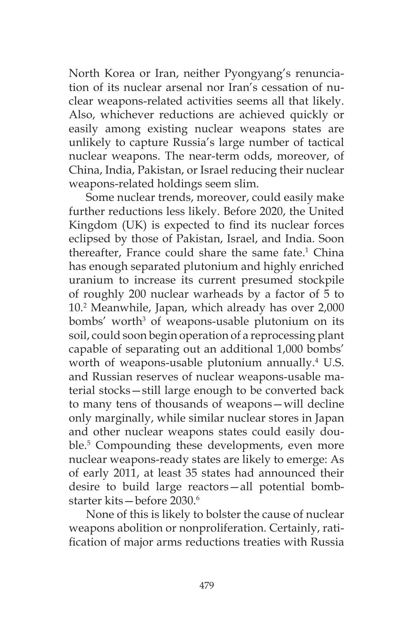North Korea or Iran, neither Pyongyang's renunciation of its nuclear arsenal nor Iran's cessation of nuclear weapons-related activities seems all that likely. Also, whichever reductions are achieved quickly or easily among existing nuclear weapons states are unlikely to capture Russia's large number of tactical nuclear weapons. The near-term odds, moreover, of China, India, Pakistan, or Israel reducing their nuclear weapons-related holdings seem slim.

Some nuclear trends, moreover, could easily make further reductions less likely. Before 2020, the United Kingdom (UK) is expected to find its nuclear forces eclipsed by those of Pakistan, Israel, and India. Soon thereafter, France could share the same fate.<sup>1</sup> China has enough separated plutonium and highly enriched uranium to increase its current presumed stockpile of roughly 200 nuclear warheads by a factor of 5 to 10.<sup>2</sup> Meanwhile, Japan, which already has over 2,000 bombs' worth<sup>3</sup> of weapons-usable plutonium on its soil, could soon begin operation of a reprocessing plant capable of separating out an additional 1,000 bombs' worth of weapons-usable plutonium annually.<sup>4</sup> U.S. and Russian reserves of nuclear weapons-usable material stocks—still large enough to be converted back to many tens of thousands of weapons—will decline only marginally, while similar nuclear stores in Japan and other nuclear weapons states could easily double.<sup>5</sup> Compounding these developments, even more nuclear weapons-ready states are likely to emerge: As of early 2011, at least 35 states had announced their desire to build large reactors—all potential bombstarter kits-before 2030.<sup>6</sup>

None of this is likely to bolster the cause of nuclear weapons abolition or nonproliferation. Certainly, ratification of major arms reductions treaties with Russia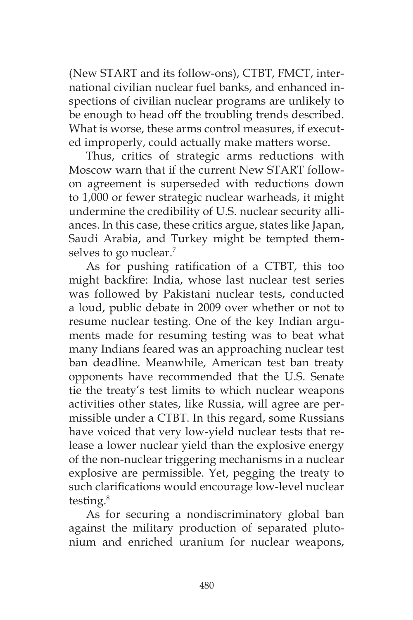(New START and its follow-ons), CTBT, FMCT, international civilian nuclear fuel banks, and enhanced inspections of civilian nuclear programs are unlikely to be enough to head off the troubling trends described. What is worse, these arms control measures, if executed improperly, could actually make matters worse.

Thus, critics of strategic arms reductions with Moscow warn that if the current New START followon agreement is superseded with reductions down to 1,000 or fewer strategic nuclear warheads, it might undermine the credibility of U.S. nuclear security alliances. In this case, these critics argue, states like Japan, Saudi Arabia, and Turkey might be tempted themselves to go nuclear.<sup>7</sup>

As for pushing ratification of a CTBT, this too might backfire: India, whose last nuclear test series was followed by Pakistani nuclear tests, conducted a loud, public debate in 2009 over whether or not to resume nuclear testing. One of the key Indian arguments made for resuming testing was to beat what many Indians feared was an approaching nuclear test ban deadline. Meanwhile, American test ban treaty opponents have recommended that the U.S. Senate tie the treaty's test limits to which nuclear weapons activities other states, like Russia, will agree are permissible under a CTBT. In this regard, some Russians have voiced that very low-yield nuclear tests that release a lower nuclear yield than the explosive energy of the non-nuclear triggering mechanisms in a nuclear explosive are permissible. Yet, pegging the treaty to such clarifications would encourage low-level nuclear testing.8

As for securing a nondiscriminatory global ban against the military production of separated plutonium and enriched uranium for nuclear weapons,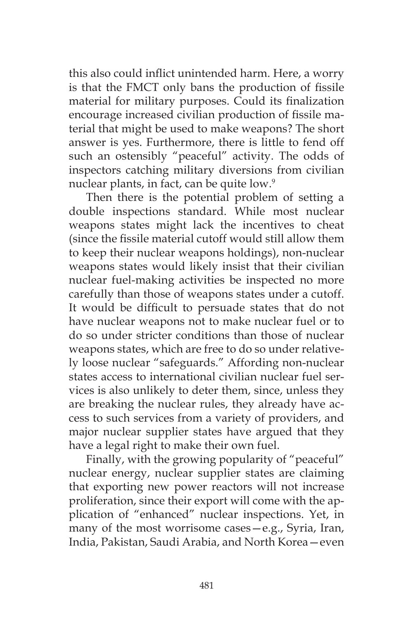this also could inflict unintended harm. Here, a worry is that the FMCT only bans the production of fissile material for military purposes. Could its finalization encourage increased civilian production of fissile material that might be used to make weapons? The short answer is yes. Furthermore, there is little to fend off such an ostensibly "peaceful" activity. The odds of inspectors catching military diversions from civilian nuclear plants, in fact, can be quite low.<sup>9</sup>

Then there is the potential problem of setting a double inspections standard. While most nuclear weapons states might lack the incentives to cheat (since the fissile material cutoff would still allow them to keep their nuclear weapons holdings), non-nuclear weapons states would likely insist that their civilian nuclear fuel-making activities be inspected no more carefully than those of weapons states under a cutoff. It would be difficult to persuade states that do not have nuclear weapons not to make nuclear fuel or to do so under stricter conditions than those of nuclear weapons states, which are free to do so under relatively loose nuclear "safeguards." Affording non-nuclear states access to international civilian nuclear fuel services is also unlikely to deter them, since, unless they are breaking the nuclear rules, they already have access to such services from a variety of providers, and major nuclear supplier states have argued that they have a legal right to make their own fuel.

Finally, with the growing popularity of "peaceful" nuclear energy, nuclear supplier states are claiming that exporting new power reactors will not increase proliferation, since their export will come with the application of "enhanced" nuclear inspections. Yet, in many of the most worrisome cases—e.g., Syria, Iran, India, Pakistan, Saudi Arabia, and North Korea—even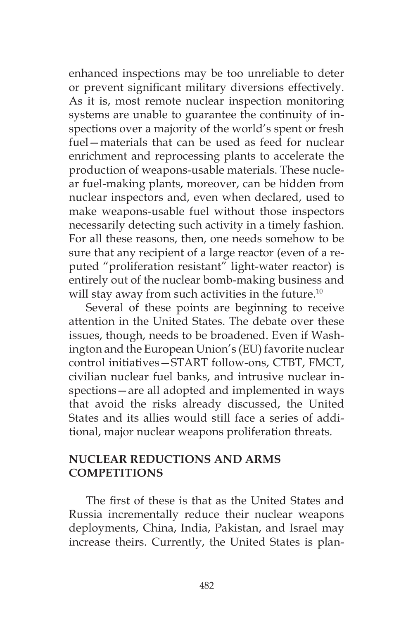enhanced inspections may be too unreliable to deter or prevent significant military diversions effectively. As it is, most remote nuclear inspection monitoring systems are unable to guarantee the continuity of inspections over a majority of the world's spent or fresh fuel—materials that can be used as feed for nuclear enrichment and reprocessing plants to accelerate the production of weapons-usable materials. These nuclear fuel-making plants, moreover, can be hidden from nuclear inspectors and, even when declared, used to make weapons-usable fuel without those inspectors necessarily detecting such activity in a timely fashion. For all these reasons, then, one needs somehow to be sure that any recipient of a large reactor (even of a reputed "proliferation resistant" light-water reactor) is entirely out of the nuclear bomb-making business and will stay away from such activities in the future.<sup>10</sup>

Several of these points are beginning to receive attention in the United States. The debate over these issues, though, needs to be broadened. Even if Washington and the European Union's (EU) favorite nuclear control initiatives—START follow-ons, CTBT, FMCT, civilian nuclear fuel banks, and intrusive nuclear inspections—are all adopted and implemented in ways that avoid the risks already discussed, the United States and its allies would still face a series of additional, major nuclear weapons proliferation threats.

# **NUCLEAR REDUCTIONS AND ARMS COMPETITIONS**

The first of these is that as the United States and Russia incrementally reduce their nuclear weapons deployments, China, India, Pakistan, and Israel may increase theirs. Currently, the United States is plan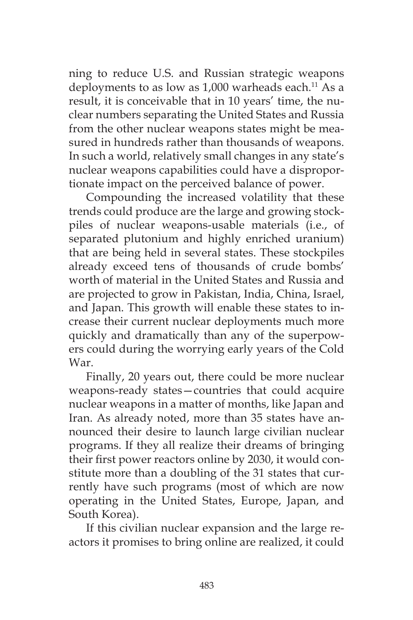ning to reduce U.S. and Russian strategic weapons deployments to as low as 1,000 warheads each.<sup>11</sup> As a result, it is conceivable that in 10 years' time, the nuclear numbers separating the United States and Russia from the other nuclear weapons states might be measured in hundreds rather than thousands of weapons. In such a world, relatively small changes in any state's nuclear weapons capabilities could have a disproportionate impact on the perceived balance of power.

Compounding the increased volatility that these trends could produce are the large and growing stockpiles of nuclear weapons-usable materials (i.e., of separated plutonium and highly enriched uranium) that are being held in several states. These stockpiles already exceed tens of thousands of crude bombs' worth of material in the United States and Russia and are projected to grow in Pakistan, India, China, Israel, and Japan. This growth will enable these states to increase their current nuclear deployments much more quickly and dramatically than any of the superpowers could during the worrying early years of the Cold War.

Finally, 20 years out, there could be more nuclear weapons-ready states—countries that could acquire nuclear weapons in a matter of months, like Japan and Iran. As already noted, more than 35 states have announced their desire to launch large civilian nuclear programs. If they all realize their dreams of bringing their first power reactors online by 2030, it would constitute more than a doubling of the 31 states that currently have such programs (most of which are now operating in the United States, Europe, Japan, and South Korea).

If this civilian nuclear expansion and the large reactors it promises to bring online are realized, it could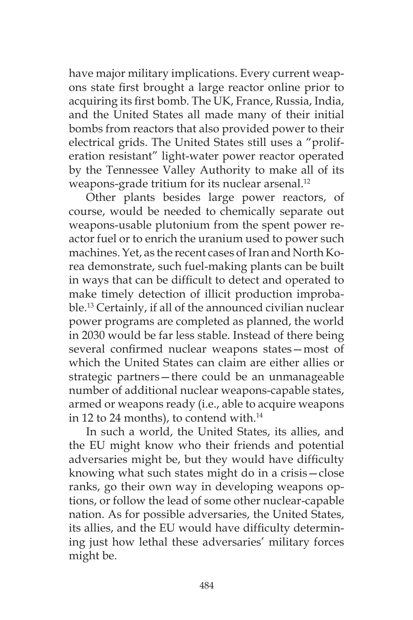have major military implications. Every current weapons state first brought a large reactor online prior to acquiring its first bomb. The UK, France, Russia, India, and the United States all made many of their initial bombs from reactors that also provided power to their electrical grids. The United States still uses a "proliferation resistant" light-water power reactor operated by the Tennessee Valley Authority to make all of its weapons-grade tritium for its nuclear arsenal.<sup>12</sup>

Other plants besides large power reactors, of course, would be needed to chemically separate out weapons-usable plutonium from the spent power reactor fuel or to enrich the uranium used to power such machines. Yet, as the recent cases of Iran and North Korea demonstrate, such fuel-making plants can be built in ways that can be difficult to detect and operated to make timely detection of illicit production improbable.13 Certainly, if all of the announced civilian nuclear power programs are completed as planned, the world in 2030 would be far less stable. Instead of there being several confirmed nuclear weapons states—most of which the United States can claim are either allies or strategic partners—there could be an unmanageable number of additional nuclear weapons-capable states, armed or weapons ready (i.e., able to acquire weapons in 12 to 24 months), to contend with.<sup>14</sup>

In such a world, the United States, its allies, and the EU might know who their friends and potential adversaries might be, but they would have difficulty knowing what such states might do in a crisis—close ranks, go their own way in developing weapons options, or follow the lead of some other nuclear-capable nation. As for possible adversaries, the United States, its allies, and the EU would have difficulty determining just how lethal these adversaries' military forces might be.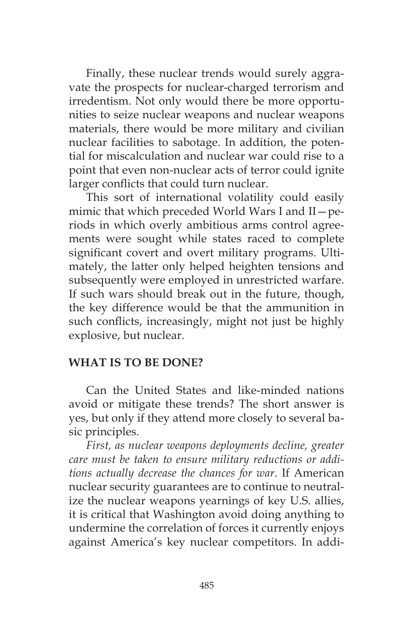Finally, these nuclear trends would surely aggravate the prospects for nuclear-charged terrorism and irredentism. Not only would there be more opportunities to seize nuclear weapons and nuclear weapons materials, there would be more military and civilian nuclear facilities to sabotage. In addition, the potential for miscalculation and nuclear war could rise to a point that even non-nuclear acts of terror could ignite larger conflicts that could turn nuclear.

This sort of international volatility could easily mimic that which preceded World Wars I and II—periods in which overly ambitious arms control agreements were sought while states raced to complete significant covert and overt military programs. Ultimately, the latter only helped heighten tensions and subsequently were employed in unrestricted warfare. If such wars should break out in the future, though, the key difference would be that the ammunition in such conflicts, increasingly, might not just be highly explosive, but nuclear.

### **WHAT IS TO BE DONE?**

Can the United States and like-minded nations avoid or mitigate these trends? The short answer is yes, but only if they attend more closely to several basic principles.

*First, as nuclear weapons deployments decline, greater care must be taken to ensure military reductions or additions actually decrease the chances for war*. If American nuclear security guarantees are to continue to neutralize the nuclear weapons yearnings of key U.S. allies, it is critical that Washington avoid doing anything to undermine the correlation of forces it currently enjoys against America's key nuclear competitors. In addi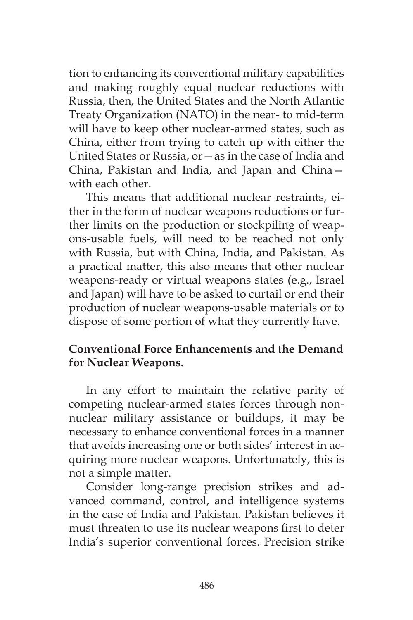tion to enhancing its conventional military capabilities and making roughly equal nuclear reductions with Russia, then, the United States and the North Atlantic Treaty Organization (NATO) in the near- to mid-term will have to keep other nuclear-armed states, such as China, either from trying to catch up with either the United States or Russia, or—as in the case of India and China, Pakistan and India, and Japan and China with each other.

This means that additional nuclear restraints, either in the form of nuclear weapons reductions or further limits on the production or stockpiling of weapons-usable fuels, will need to be reached not only with Russia, but with China, India, and Pakistan. As a practical matter, this also means that other nuclear weapons-ready or virtual weapons states (e.g., Israel and Japan) will have to be asked to curtail or end their production of nuclear weapons-usable materials or to dispose of some portion of what they currently have.

# **Conventional Force Enhancements and the Demand for Nuclear Weapons.**

In any effort to maintain the relative parity of competing nuclear-armed states forces through nonnuclear military assistance or buildups, it may be necessary to enhance conventional forces in a manner that avoids increasing one or both sides' interest in acquiring more nuclear weapons. Unfortunately, this is not a simple matter.

Consider long-range precision strikes and advanced command, control, and intelligence systems in the case of India and Pakistan. Pakistan believes it must threaten to use its nuclear weapons first to deter India's superior conventional forces. Precision strike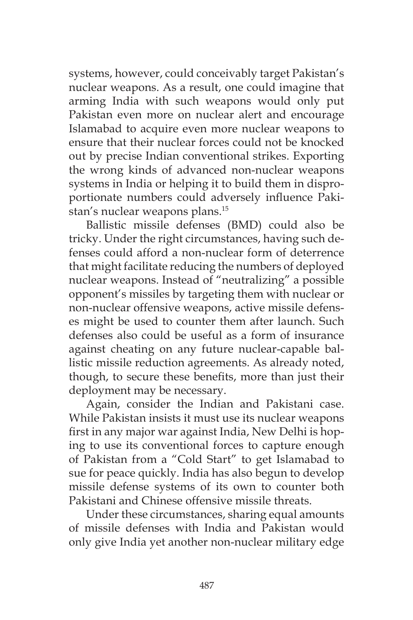systems, however, could conceivably target Pakistan's nuclear weapons. As a result, one could imagine that arming India with such weapons would only put Pakistan even more on nuclear alert and encourage Islamabad to acquire even more nuclear weapons to ensure that their nuclear forces could not be knocked out by precise Indian conventional strikes. Exporting the wrong kinds of advanced non-nuclear weapons systems in India or helping it to build them in disproportionate numbers could adversely influence Pakistan's nuclear weapons plans.15

Ballistic missile defenses (BMD) could also be tricky. Under the right circumstances, having such defenses could afford a non-nuclear form of deterrence that might facilitate reducing the numbers of deployed nuclear weapons. Instead of "neutralizing" a possible opponent's missiles by targeting them with nuclear or non-nuclear offensive weapons, active missile defenses might be used to counter them after launch. Such defenses also could be useful as a form of insurance against cheating on any future nuclear-capable ballistic missile reduction agreements. As already noted, though, to secure these benefits, more than just their deployment may be necessary.

Again, consider the Indian and Pakistani case. While Pakistan insists it must use its nuclear weapons first in any major war against India, New Delhi is hoping to use its conventional forces to capture enough of Pakistan from a "Cold Start" to get Islamabad to sue for peace quickly. India has also begun to develop missile defense systems of its own to counter both Pakistani and Chinese offensive missile threats.

Under these circumstances, sharing equal amounts of missile defenses with India and Pakistan would only give India yet another non-nuclear military edge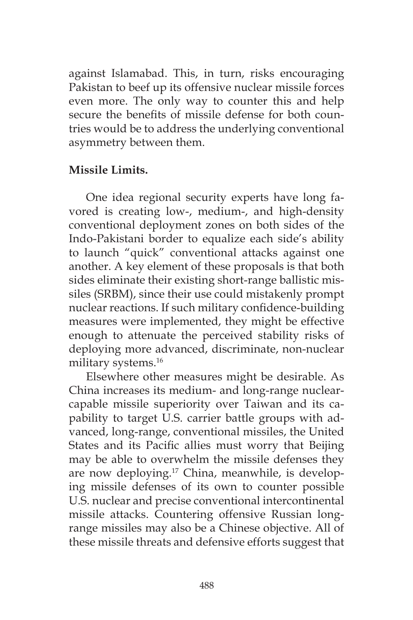against Islamabad. This, in turn, risks encouraging Pakistan to beef up its offensive nuclear missile forces even more. The only way to counter this and help secure the benefits of missile defense for both countries would be to address the underlying conventional asymmetry between them.

### **Missile Limits.**

One idea regional security experts have long favored is creating low-, medium-, and high-density conventional deployment zones on both sides of the Indo-Pakistani border to equalize each side's ability to launch "quick" conventional attacks against one another. A key element of these proposals is that both sides eliminate their existing short-range ballistic missiles (SRBM), since their use could mistakenly prompt nuclear reactions. If such military confidence-building measures were implemented, they might be effective enough to attenuate the perceived stability risks of deploying more advanced, discriminate, non-nuclear military systems.16

Elsewhere other measures might be desirable. As China increases its medium- and long-range nuclearcapable missile superiority over Taiwan and its capability to target U.S. carrier battle groups with advanced, long-range, conventional missiles, the United States and its Pacific allies must worry that Beijing may be able to overwhelm the missile defenses they are now deploying.<sup>17</sup> China, meanwhile, is developing missile defenses of its own to counter possible U.S. nuclear and precise conventional intercontinental missile attacks. Countering offensive Russian longrange missiles may also be a Chinese objective. All of these missile threats and defensive efforts suggest that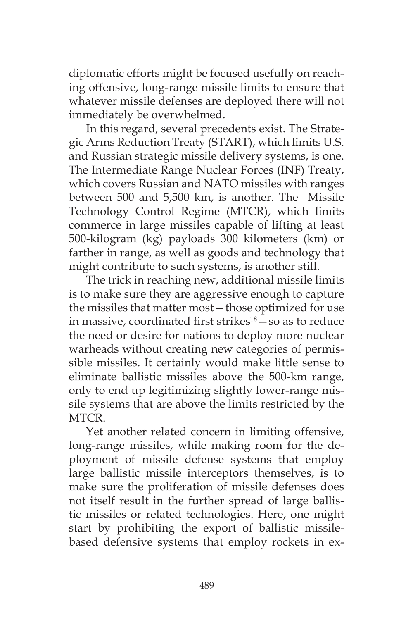diplomatic efforts might be focused usefully on reaching offensive, long-range missile limits to ensure that whatever missile defenses are deployed there will not immediately be overwhelmed.

In this regard, several precedents exist. The Strategic Arms Reduction Treaty (START), which limits U.S. and Russian strategic missile delivery systems, is one. The Intermediate Range Nuclear Forces (INF) Treaty, which covers Russian and NATO missiles with ranges between 500 and 5,500 km, is another. The Missile Technology Control Regime (MTCR), which limits commerce in large missiles capable of lifting at least 500-kilogram (kg) payloads 300 kilometers (km) or farther in range, as well as goods and technology that might contribute to such systems, is another still.

The trick in reaching new, additional missile limits is to make sure they are aggressive enough to capture the missiles that matter most—those optimized for use in massive, coordinated first strikes $18$  – so as to reduce the need or desire for nations to deploy more nuclear warheads without creating new categories of permissible missiles. It certainly would make little sense to eliminate ballistic missiles above the 500-km range, only to end up legitimizing slightly lower-range missile systems that are above the limits restricted by the MTCR.

Yet another related concern in limiting offensive, long-range missiles, while making room for the deployment of missile defense systems that employ large ballistic missile interceptors themselves, is to make sure the proliferation of missile defenses does not itself result in the further spread of large ballistic missiles or related technologies. Here, one might start by prohibiting the export of ballistic missilebased defensive systems that employ rockets in ex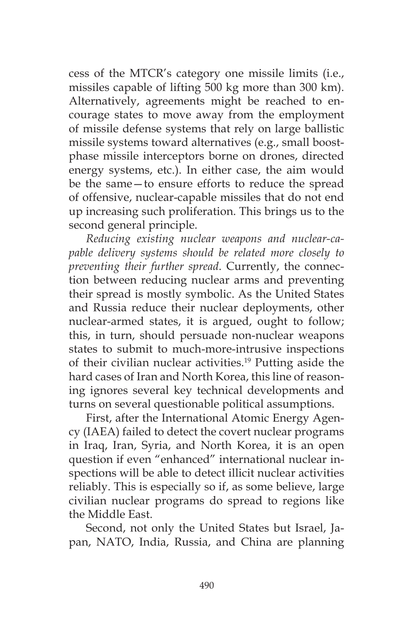cess of the MTCR's category one missile limits (i.e., missiles capable of lifting 500 kg more than 300 km). Alternatively, agreements might be reached to encourage states to move away from the employment of missile defense systems that rely on large ballistic missile systems toward alternatives (e.g., small boostphase missile interceptors borne on drones, directed energy systems, etc.). In either case, the aim would be the same—to ensure efforts to reduce the spread of offensive, nuclear-capable missiles that do not end up increasing such proliferation. This brings us to the second general principle.

*Reducing existing nuclear weapons and nuclear-capable delivery systems should be related more closely to preventing their further spread*. Currently, the connection between reducing nuclear arms and preventing their spread is mostly symbolic. As the United States and Russia reduce their nuclear deployments, other nuclear-armed states, it is argued, ought to follow; this, in turn, should persuade non-nuclear weapons states to submit to much-more-intrusive inspections of their civilian nuclear activities.19 Putting aside the hard cases of Iran and North Korea, this line of reasoning ignores several key technical developments and turns on several questionable political assumptions.

First, after the International Atomic Energy Agency (IAEA) failed to detect the covert nuclear programs in Iraq, Iran, Syria, and North Korea, it is an open question if even "enhanced" international nuclear inspections will be able to detect illicit nuclear activities reliably. This is especially so if, as some believe, large civilian nuclear programs do spread to regions like the Middle East.

Second, not only the United States but Israel, Japan, NATO, India, Russia, and China are planning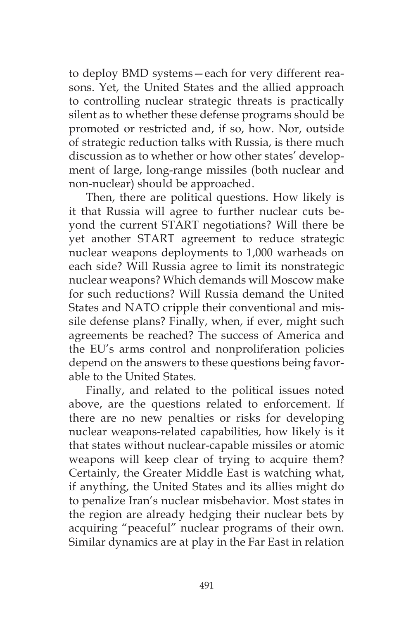to deploy BMD systems—each for very different reasons. Yet, the United States and the allied approach to controlling nuclear strategic threats is practically silent as to whether these defense programs should be promoted or restricted and, if so, how. Nor, outside of strategic reduction talks with Russia, is there much discussion as to whether or how other states' development of large, long-range missiles (both nuclear and non-nuclear) should be approached.

Then, there are political questions. How likely is it that Russia will agree to further nuclear cuts beyond the current START negotiations? Will there be yet another START agreement to reduce strategic nuclear weapons deployments to 1,000 warheads on each side? Will Russia agree to limit its nonstrategic nuclear weapons? Which demands will Moscow make for such reductions? Will Russia demand the United States and NATO cripple their conventional and missile defense plans? Finally, when, if ever, might such agreements be reached? The success of America and the EU's arms control and nonproliferation policies depend on the answers to these questions being favorable to the United States.

Finally, and related to the political issues noted above, are the questions related to enforcement. If there are no new penalties or risks for developing nuclear weapons-related capabilities, how likely is it that states without nuclear-capable missiles or atomic weapons will keep clear of trying to acquire them? Certainly, the Greater Middle East is watching what, if anything, the United States and its allies might do to penalize Iran's nuclear misbehavior. Most states in the region are already hedging their nuclear bets by acquiring "peaceful" nuclear programs of their own. Similar dynamics are at play in the Far East in relation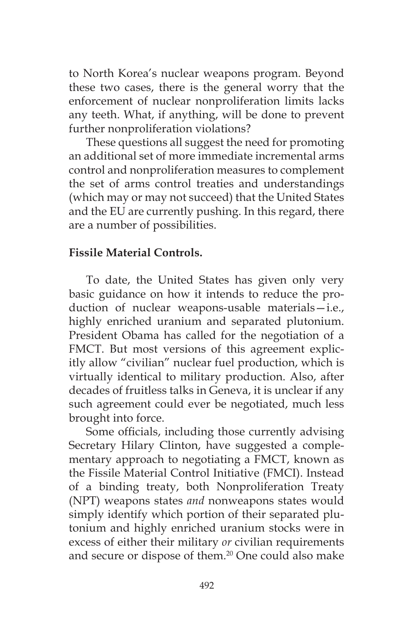to North Korea's nuclear weapons program. Beyond these two cases, there is the general worry that the enforcement of nuclear nonproliferation limits lacks any teeth. What, if anything, will be done to prevent further nonproliferation violations?

These questions all suggest the need for promoting an additional set of more immediate incremental arms control and nonproliferation measures to complement the set of arms control treaties and understandings (which may or may not succeed) that the United States and the EU are currently pushing. In this regard, there are a number of possibilities.

# **Fissile Material Controls.**

To date, the United States has given only very basic guidance on how it intends to reduce the production of nuclear weapons-usable materials—i.e., highly enriched uranium and separated plutonium. President Obama has called for the negotiation of a FMCT. But most versions of this agreement explicitly allow "civilian" nuclear fuel production, which is virtually identical to military production. Also, after decades of fruitless talks in Geneva, it is unclear if any such agreement could ever be negotiated, much less brought into force.

Some officials, including those currently advising Secretary Hilary Clinton, have suggested a complementary approach to negotiating a FMCT, known as the Fissile Material Control Initiative (FMCI). Instead of a binding treaty, both Nonproliferation Treaty (NPT) weapons states *and* nonweapons states would simply identify which portion of their separated plutonium and highly enriched uranium stocks were in excess of either their military *or* civilian requirements and secure or dispose of them.<sup>20</sup> One could also make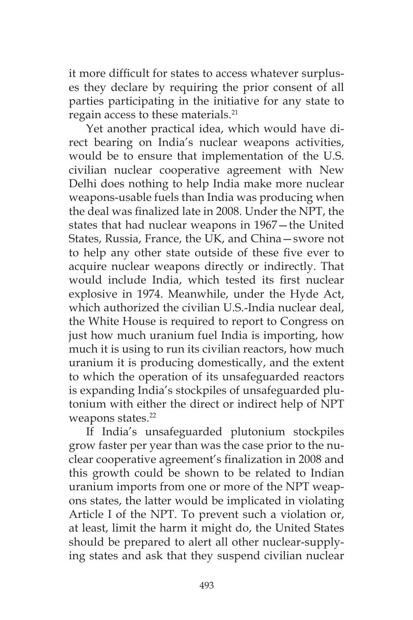it more difficult for states to access whatever surpluses they declare by requiring the prior consent of all parties participating in the initiative for any state to regain access to these materials.<sup>21</sup>

Yet another practical idea, which would have direct bearing on India's nuclear weapons activities, would be to ensure that implementation of the U.S. civilian nuclear cooperative agreement with New Delhi does nothing to help India make more nuclear weapons-usable fuels than India was producing when the deal was finalized late in 2008. Under the NPT, the states that had nuclear weapons in 1967—the United States, Russia, France, the UK, and China—swore not to help any other state outside of these five ever to acquire nuclear weapons directly or indirectly. That would include India, which tested its first nuclear explosive in 1974. Meanwhile, under the Hyde Act, which authorized the civilian U.S.-India nuclear deal, the White House is required to report to Congress on just how much uranium fuel India is importing, how much it is using to run its civilian reactors, how much uranium it is producing domestically, and the extent to which the operation of its unsafeguarded reactors is expanding India's stockpiles of unsafeguarded plutonium with either the direct or indirect help of NPT weapons states.<sup>22</sup>

If India's unsafeguarded plutonium stockpiles grow faster per year than was the case prior to the nuclear cooperative agreement's finalization in 2008 and this growth could be shown to be related to Indian uranium imports from one or more of the NPT weapons states, the latter would be implicated in violating Article I of the NPT. To prevent such a violation or, at least, limit the harm it might do, the United States should be prepared to alert all other nuclear-supplying states and ask that they suspend civilian nuclear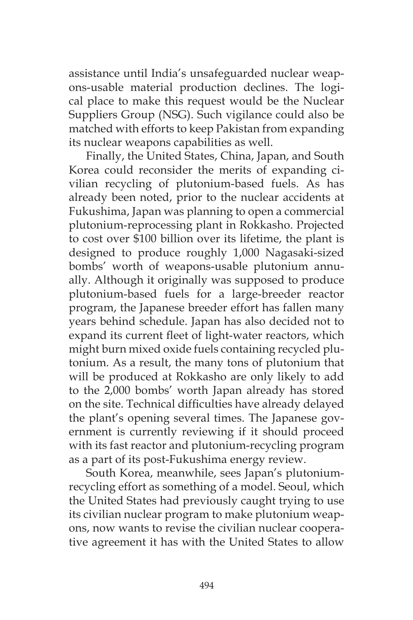assistance until India's unsafeguarded nuclear weapons-usable material production declines. The logical place to make this request would be the Nuclear Suppliers Group (NSG). Such vigilance could also be matched with efforts to keep Pakistan from expanding its nuclear weapons capabilities as well.

Finally, the United States, China, Japan, and South Korea could reconsider the merits of expanding civilian recycling of plutonium-based fuels. As has already been noted, prior to the nuclear accidents at Fukushima, Japan was planning to open a commercial plutonium-reprocessing plant in Rokkasho. Projected to cost over \$100 billion over its lifetime, the plant is designed to produce roughly 1,000 Nagasaki-sized bombs' worth of weapons-usable plutonium annually. Although it originally was supposed to produce plutonium-based fuels for a large-breeder reactor program, the Japanese breeder effort has fallen many years behind schedule. Japan has also decided not to expand its current fleet of light-water reactors, which might burn mixed oxide fuels containing recycled plutonium. As a result, the many tons of plutonium that will be produced at Rokkasho are only likely to add to the 2,000 bombs' worth Japan already has stored on the site. Technical difficulties have already delayed the plant's opening several times. The Japanese government is currently reviewing if it should proceed with its fast reactor and plutonium-recycling program as a part of its post-Fukushima energy review.

South Korea, meanwhile, sees Japan's plutoniumrecycling effort as something of a model. Seoul, which the United States had previously caught trying to use its civilian nuclear program to make plutonium weapons, now wants to revise the civilian nuclear cooperative agreement it has with the United States to allow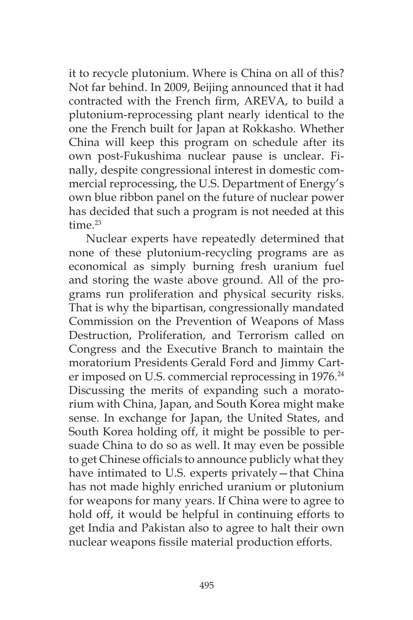it to recycle plutonium. Where is China on all of this? Not far behind. In 2009, Beijing announced that it had contracted with the French firm, AREVA, to build a plutonium-reprocessing plant nearly identical to the one the French built for Japan at Rokkasho. Whether China will keep this program on schedule after its own post-Fukushima nuclear pause is unclear. Finally, despite congressional interest in domestic commercial reprocessing, the U.S. Department of Energy's own blue ribbon panel on the future of nuclear power has decided that such a program is not needed at this time.<sup>23</sup>

Nuclear experts have repeatedly determined that none of these plutonium-recycling programs are as economical as simply burning fresh uranium fuel and storing the waste above ground. All of the programs run proliferation and physical security risks. That is why the bipartisan, congressionally mandated Commission on the Prevention of Weapons of Mass Destruction, Proliferation, and Terrorism called on Congress and the Executive Branch to maintain the moratorium Presidents Gerald Ford and Jimmy Carter imposed on U.S. commercial reprocessing in 1976.<sup>24</sup> Discussing the merits of expanding such a moratorium with China, Japan, and South Korea might make sense. In exchange for Japan, the United States, and South Korea holding off, it might be possible to persuade China to do so as well. It may even be possible to get Chinese officials to announce publicly what they have intimated to U.S. experts privately—that China has not made highly enriched uranium or plutonium for weapons for many years. If China were to agree to hold off, it would be helpful in continuing efforts to get India and Pakistan also to agree to halt their own nuclear weapons fissile material production efforts.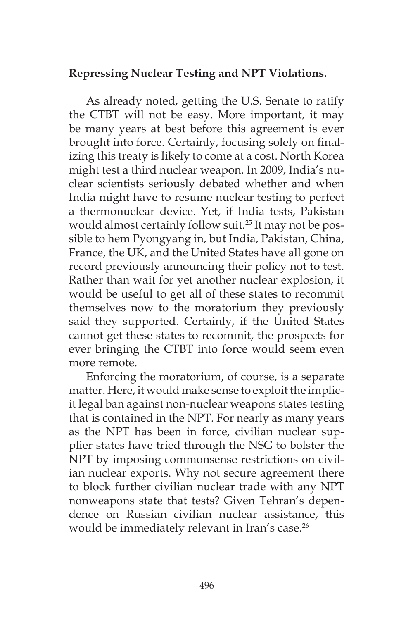# **Repressing Nuclear Testing and NPT Violations.**

As already noted, getting the U.S. Senate to ratify the CTBT will not be easy. More important, it may be many years at best before this agreement is ever brought into force. Certainly, focusing solely on finalizing this treaty is likely to come at a cost. North Korea might test a third nuclear weapon. In 2009, India's nuclear scientists seriously debated whether and when India might have to resume nuclear testing to perfect a thermonuclear device. Yet, if India tests, Pakistan would almost certainly follow suit.<sup>25</sup> It may not be possible to hem Pyongyang in, but India, Pakistan, China, France, the UK, and the United States have all gone on record previously announcing their policy not to test. Rather than wait for yet another nuclear explosion, it would be useful to get all of these states to recommit themselves now to the moratorium they previously said they supported. Certainly, if the United States cannot get these states to recommit, the prospects for ever bringing the CTBT into force would seem even more remote.

Enforcing the moratorium, of course, is a separate matter. Here, it would make sense to exploit the implicit legal ban against non-nuclear weapons states testing that is contained in the NPT. For nearly as many years as the NPT has been in force, civilian nuclear supplier states have tried through the NSG to bolster the NPT by imposing commonsense restrictions on civilian nuclear exports. Why not secure agreement there to block further civilian nuclear trade with any NPT nonweapons state that tests? Given Tehran's dependence on Russian civilian nuclear assistance, this would be immediately relevant in Iran's case.<sup>26</sup>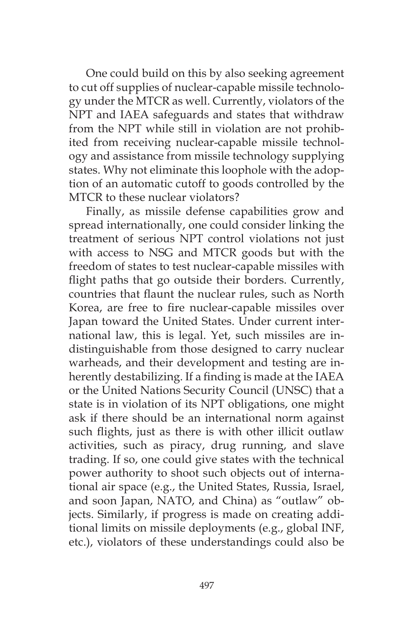One could build on this by also seeking agreement to cut off supplies of nuclear-capable missile technology under the MTCR as well. Currently, violators of the NPT and IAEA safeguards and states that withdraw from the NPT while still in violation are not prohibited from receiving nuclear-capable missile technology and assistance from missile technology supplying states. Why not eliminate this loophole with the adoption of an automatic cutoff to goods controlled by the MTCR to these nuclear violators?

Finally, as missile defense capabilities grow and spread internationally, one could consider linking the treatment of serious NPT control violations not just with access to NSG and MTCR goods but with the freedom of states to test nuclear-capable missiles with flight paths that go outside their borders. Currently, countries that flaunt the nuclear rules, such as North Korea, are free to fire nuclear-capable missiles over Japan toward the United States. Under current international law, this is legal. Yet, such missiles are indistinguishable from those designed to carry nuclear warheads, and their development and testing are inherently destabilizing. If a finding is made at the IAEA or the United Nations Security Council (UNSC) that a state is in violation of its NPT obligations, one might ask if there should be an international norm against such flights, just as there is with other illicit outlaw activities, such as piracy, drug running, and slave trading. If so, one could give states with the technical power authority to shoot such objects out of international air space (e.g., the United States, Russia, Israel, and soon Japan, NATO, and China) as "outlaw" objects. Similarly, if progress is made on creating additional limits on missile deployments (e.g., global INF, etc.), violators of these understandings could also be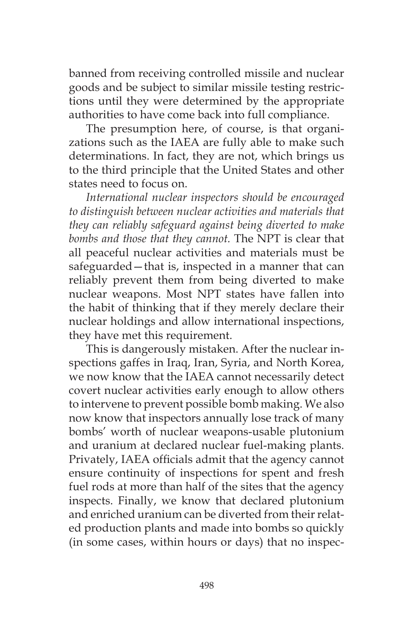banned from receiving controlled missile and nuclear goods and be subject to similar missile testing restrictions until they were determined by the appropriate authorities to have come back into full compliance.

The presumption here, of course, is that organizations such as the IAEA are fully able to make such determinations. In fact, they are not, which brings us to the third principle that the United States and other states need to focus on.

*International nuclear inspectors should be encouraged to distinguish between nuclear activities and materials that they can reliably safeguard against being diverted to make bombs and those that they cannot.* The NPT is clear that all peaceful nuclear activities and materials must be safeguarded—that is, inspected in a manner that can reliably prevent them from being diverted to make nuclear weapons. Most NPT states have fallen into the habit of thinking that if they merely declare their nuclear holdings and allow international inspections, they have met this requirement.

This is dangerously mistaken. After the nuclear inspections gaffes in Iraq, Iran, Syria, and North Korea, we now know that the IAEA cannot necessarily detect covert nuclear activities early enough to allow others to intervene to prevent possible bomb making. We also now know that inspectors annually lose track of many bombs' worth of nuclear weapons-usable plutonium and uranium at declared nuclear fuel-making plants. Privately, IAEA officials admit that the agency cannot ensure continuity of inspections for spent and fresh fuel rods at more than half of the sites that the agency inspects. Finally, we know that declared plutonium and enriched uranium can be diverted from their related production plants and made into bombs so quickly (in some cases, within hours or days) that no inspec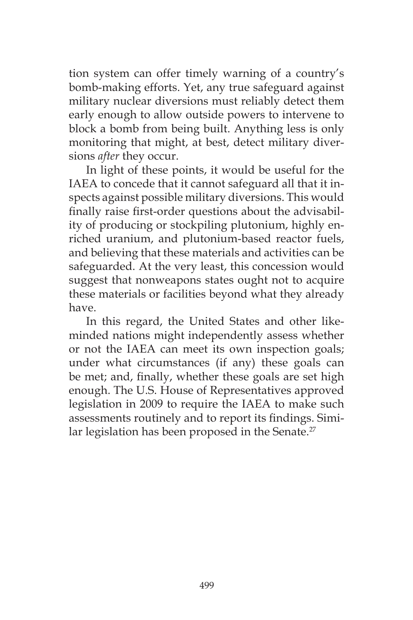tion system can offer timely warning of a country's bomb-making efforts. Yet, any true safeguard against military nuclear diversions must reliably detect them early enough to allow outside powers to intervene to block a bomb from being built. Anything less is only monitoring that might, at best, detect military diversions *after* they occur.

In light of these points, it would be useful for the IAEA to concede that it cannot safeguard all that it inspects against possible military diversions. This would finally raise first-order questions about the advisability of producing or stockpiling plutonium, highly enriched uranium, and plutonium-based reactor fuels, and believing that these materials and activities can be safeguarded. At the very least, this concession would suggest that nonweapons states ought not to acquire these materials or facilities beyond what they already have.

In this regard, the United States and other likeminded nations might independently assess whether or not the IAEA can meet its own inspection goals; under what circumstances (if any) these goals can be met; and, finally, whether these goals are set high enough. The U.S. House of Representatives approved legislation in 2009 to require the IAEA to make such assessments routinely and to report its findings. Similar legislation has been proposed in the Senate.<sup>27</sup>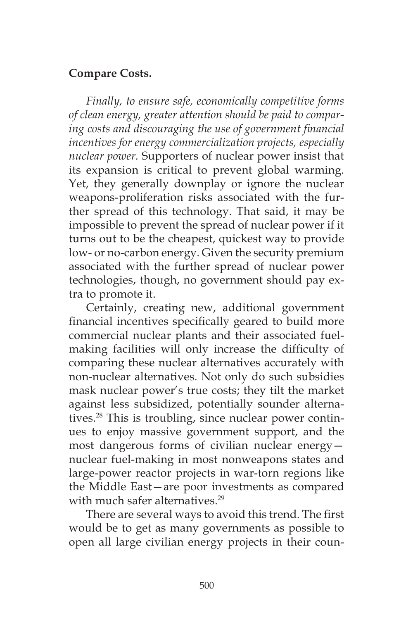# **Compare Costs.**

*Finally, to ensure safe, economically competitive forms of clean energy, greater attention should be paid to comparing costs and discouraging the use of government financial incentives for energy commercialization projects, especially nuclear power.* Supporters of nuclear power insist that its expansion is critical to prevent global warming. Yet, they generally downplay or ignore the nuclear weapons-proliferation risks associated with the further spread of this technology. That said, it may be impossible to prevent the spread of nuclear power if it turns out to be the cheapest, quickest way to provide low- or no-carbon energy. Given the security premium associated with the further spread of nuclear power technologies, though, no government should pay extra to promote it.

Certainly, creating new, additional government financial incentives specifically geared to build more commercial nuclear plants and their associated fuelmaking facilities will only increase the difficulty of comparing these nuclear alternatives accurately with non-nuclear alternatives. Not only do such subsidies mask nuclear power's true costs; they tilt the market against less subsidized, potentially sounder alternatives.28 This is troubling, since nuclear power continues to enjoy massive government support, and the most dangerous forms of civilian nuclear energy nuclear fuel-making in most nonweapons states and large-power reactor projects in war-torn regions like the Middle East—are poor investments as compared with much safer alternatives.<sup>29</sup>

There are several ways to avoid this trend. The first would be to get as many governments as possible to open all large civilian energy projects in their coun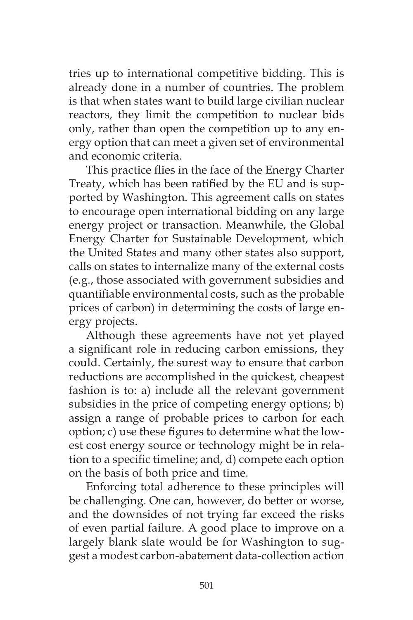tries up to international competitive bidding. This is already done in a number of countries. The problem is that when states want to build large civilian nuclear reactors, they limit the competition to nuclear bids only, rather than open the competition up to any energy option that can meet a given set of environmental and economic criteria.

This practice flies in the face of the Energy Charter Treaty, which has been ratified by the EU and is supported by Washington. This agreement calls on states to encourage open international bidding on any large energy project or transaction. Meanwhile, the Global Energy Charter for Sustainable Development, which the United States and many other states also support, calls on states to internalize many of the external costs (e.g., those associated with government subsidies and quantifiable environmental costs, such as the probable prices of carbon) in determining the costs of large energy projects.

Although these agreements have not yet played a significant role in reducing carbon emissions, they could. Certainly, the surest way to ensure that carbon reductions are accomplished in the quickest, cheapest fashion is to: a) include all the relevant government subsidies in the price of competing energy options; b) assign a range of probable prices to carbon for each option; c) use these figures to determine what the lowest cost energy source or technology might be in relation to a specific timeline; and, d) compete each option on the basis of both price and time.

Enforcing total adherence to these principles will be challenging. One can, however, do better or worse, and the downsides of not trying far exceed the risks of even partial failure. A good place to improve on a largely blank slate would be for Washington to suggest a modest carbon-abatement data-collection action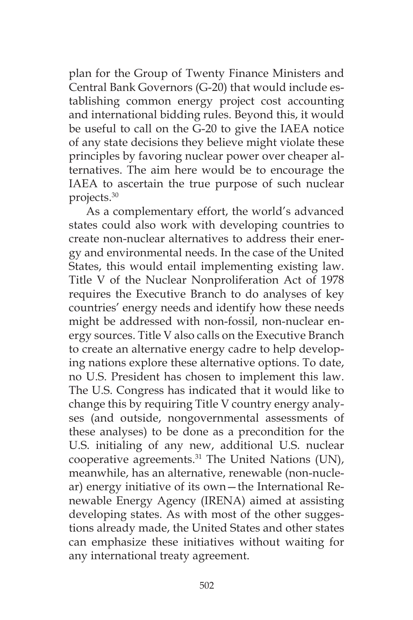plan for the Group of Twenty Finance Ministers and Central Bank Governors (G-20) that would include establishing common energy project cost accounting and international bidding rules. Beyond this, it would be useful to call on the G-20 to give the IAEA notice of any state decisions they believe might violate these principles by favoring nuclear power over cheaper alternatives. The aim here would be to encourage the IAEA to ascertain the true purpose of such nuclear projects.30

As a complementary effort, the world's advanced states could also work with developing countries to create non-nuclear alternatives to address their energy and environmental needs. In the case of the United States, this would entail implementing existing law. Title V of the Nuclear Nonproliferation Act of 1978 requires the Executive Branch to do analyses of key countries' energy needs and identify how these needs might be addressed with non-fossil, non-nuclear energy sources. Title V also calls on the Executive Branch to create an alternative energy cadre to help developing nations explore these alternative options. To date, no U.S. President has chosen to implement this law. The U.S. Congress has indicated that it would like to change this by requiring Title V country energy analyses (and outside, nongovernmental assessments of these analyses) to be done as a precondition for the U.S. initialing of any new, additional U.S. nuclear cooperative agreements.31 The United Nations (UN), meanwhile, has an alternative, renewable (non-nuclear) energy initiative of its own—the International Renewable Energy Agency (IRENA) aimed at assisting developing states. As with most of the other suggestions already made, the United States and other states can emphasize these initiatives without waiting for any international treaty agreement.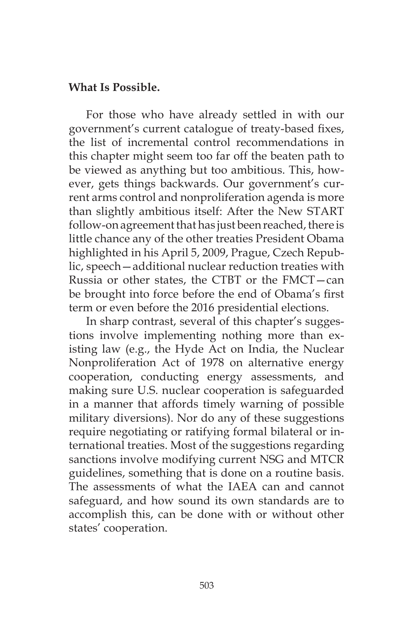#### **What Is Possible.**

For those who have already settled in with our government's current catalogue of treaty-based fixes, the list of incremental control recommendations in this chapter might seem too far off the beaten path to be viewed as anything but too ambitious. This, however, gets things backwards. Our government's current arms control and nonproliferation agenda is more than slightly ambitious itself: After the New START follow-on agreement that has just been reached, there is little chance any of the other treaties President Obama highlighted in his April 5, 2009, Prague, Czech Republic, speech—additional nuclear reduction treaties with Russia or other states, the CTBT or the FMCT—can be brought into force before the end of Obama's first term or even before the 2016 presidential elections.

In sharp contrast, several of this chapter's suggestions involve implementing nothing more than existing law (e.g., the Hyde Act on India, the Nuclear Nonproliferation Act of 1978 on alternative energy cooperation, conducting energy assessments, and making sure U.S. nuclear cooperation is safeguarded in a manner that affords timely warning of possible military diversions). Nor do any of these suggestions require negotiating or ratifying formal bilateral or international treaties. Most of the suggestions regarding sanctions involve modifying current NSG and MTCR guidelines, something that is done on a routine basis. The assessments of what the IAEA can and cannot safeguard, and how sound its own standards are to accomplish this, can be done with or without other states' cooperation.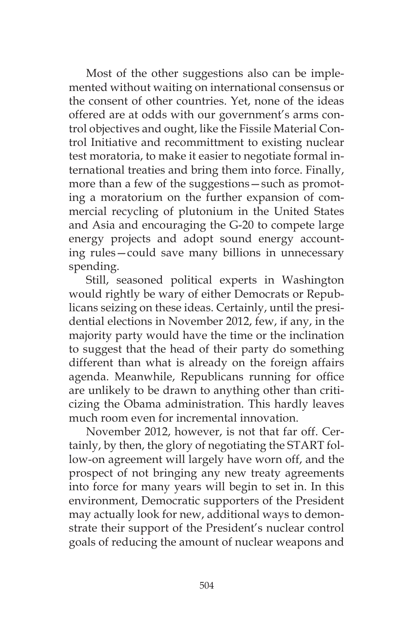Most of the other suggestions also can be implemented without waiting on international consensus or the consent of other countries. Yet, none of the ideas offered are at odds with our government's arms control objectives and ought, like the Fissile Material Control Initiative and recommittment to existing nuclear test moratoria, to make it easier to negotiate formal international treaties and bring them into force. Finally, more than a few of the suggestions—such as promoting a moratorium on the further expansion of commercial recycling of plutonium in the United States and Asia and encouraging the G-20 to compete large energy projects and adopt sound energy accounting rules—could save many billions in unnecessary spending.

Still, seasoned political experts in Washington would rightly be wary of either Democrats or Republicans seizing on these ideas. Certainly, until the presidential elections in November 2012, few, if any, in the majority party would have the time or the inclination to suggest that the head of their party do something different than what is already on the foreign affairs agenda. Meanwhile, Republicans running for office are unlikely to be drawn to anything other than criticizing the Obama administration. This hardly leaves much room even for incremental innovation.

November 2012, however, is not that far off. Certainly, by then, the glory of negotiating the START follow-on agreement will largely have worn off, and the prospect of not bringing any new treaty agreements into force for many years will begin to set in. In this environment, Democratic supporters of the President may actually look for new, additional ways to demonstrate their support of the President's nuclear control goals of reducing the amount of nuclear weapons and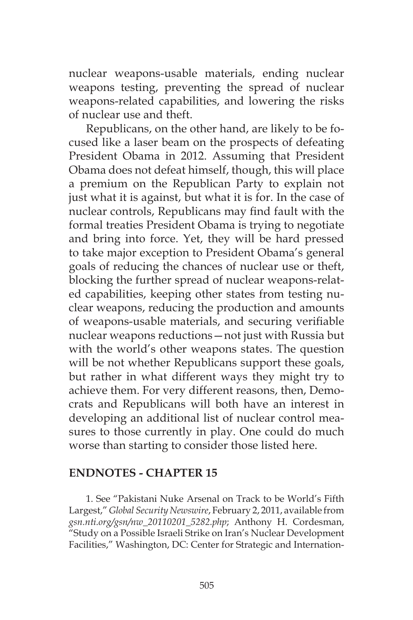nuclear weapons-usable materials, ending nuclear weapons testing, preventing the spread of nuclear weapons-related capabilities, and lowering the risks of nuclear use and theft.

Republicans, on the other hand, are likely to be focused like a laser beam on the prospects of defeating President Obama in 2012. Assuming that President Obama does not defeat himself, though, this will place a premium on the Republican Party to explain not just what it is against, but what it is for. In the case of nuclear controls, Republicans may find fault with the formal treaties President Obama is trying to negotiate and bring into force. Yet, they will be hard pressed to take major exception to President Obama's general goals of reducing the chances of nuclear use or theft, blocking the further spread of nuclear weapons-related capabilities, keeping other states from testing nuclear weapons, reducing the production and amounts of weapons-usable materials, and securing verifiable nuclear weapons reductions—not just with Russia but with the world's other weapons states. The question will be not whether Republicans support these goals, but rather in what different ways they might try to achieve them. For very different reasons, then, Democrats and Republicans will both have an interest in developing an additional list of nuclear control measures to those currently in play. One could do much worse than starting to consider those listed here.

#### **ENDNOTES - CHAPTER 15**

1. See "Pakistani Nuke Arsenal on Track to be World's Fifth Largest," *Global Security Newswire*, February 2, 2011, available from *gsn.nti.org/gsn/nw\_20110201\_5282.php*; Anthony H. Cordesman, "Study on a Possible Israeli Strike on Iran's Nuclear Development Facilities," Washington, DC: Center for Strategic and Internation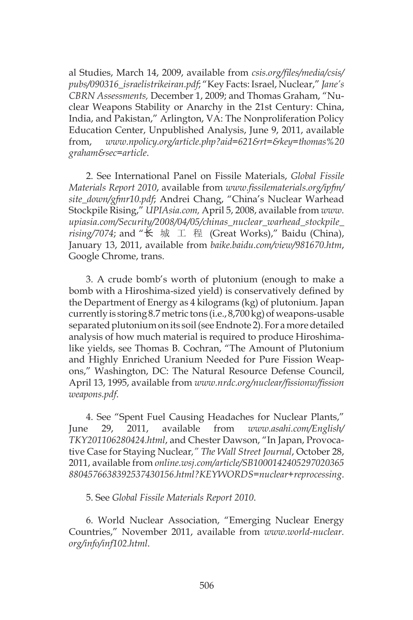al Studies, March 14, 2009, available from *csis.org/files/media/csis/ pubs/090316\_israelistrikeiran.pdf*; "Key Facts: Israel, Nuclear," *Jane's CBRN Assessments,* December 1, 2009; and Thomas Graham, "Nuclear Weapons Stability or Anarchy in the 21st Century: China, India, and Pakistan," Arlington, VA: The Nonproliferation Policy Education Center, Unpublished Analysis, June 9, 2011, available from, *www.npolicy.org/article.php?aid=621&rt=&key=thomas%20 graham&sec=article*.

2. See International Panel on Fissile Materials, *Global Fissile Materials Report 2010*, available from *www.fissilematerials.org/ipfm/ site\_down/gfmr10.pdf*; Andrei Chang, "China's Nuclear Warhead Stockpile Rising," *UPIAsia.com,* April 5, 2008, available from *www. upiasia.com/Security/2008/04/05/chinas\_nuclear\_warhead\_stockpile\_ rising/7074*; and "长 城 工 程 (Great Works)," Baidu (China), January 13, 2011, available from *baike.baidu.com/view/981670.htm*, Google Chrome, trans.

3. A crude bomb's worth of plutonium (enough to make a bomb with a Hiroshima-sized yield) is conservatively defined by the Department of Energy as 4 kilograms (kg) of plutonium. Japan currently is storing 8.7 metric tons (i.e., 8,700 kg) of weapons-usable separated plutonium on its soil (see Endnote 2). For a more detailed analysis of how much material is required to produce Hiroshimalike yields, see Thomas B. Cochran, "The Amount of Plutonium and Highly Enriched Uranium Needed for Pure Fission Weapons," Washington, DC: The Natural Resource Defense Council, April 13, 1995, available from *www.nrdc.org/nuclear/fissionw/fission weapons.pdf*.

4. See "Spent Fuel Causing Headaches for Nuclear Plants," June 29, 2011, available from *www.asahi.com/English/ TKY201106280424.html*, and Chester Dawson, "In Japan, Provocative Case for Staying Nuclear*," The Wall Street Journal*, October 28, 2011, available from *online.wsj.com/article/SB1000142405297020365 8804576638392537430156.html?KEYWORDS=nuclear+reprocessing*.

5. See *Global Fissile Materials Report 2010*.

6. World Nuclear Association, "Emerging Nuclear Energy Countries," November 2011, available from *www.world-nuclear. org/info/inf102.html*.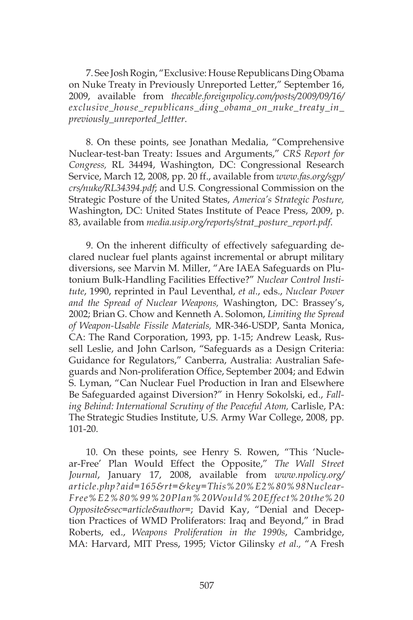7. See Josh Rogin, "Exclusive: House Republicans Ding Obama on Nuke Treaty in Previously Unreported Letter," September 16, 2009, available from *thecable.foreignpolicy.com/posts/2009/09/16/ exclusive\_house\_republicans\_ding\_obama\_on\_nuke\_treaty\_in\_ previously\_unreported\_lettter*.

8. On these points, see Jonathan Medalia, "Comprehensive Nuclear-test-ban Treaty: Issues and Arguments," *CRS Report for Congress,* RL 34494, Washington, DC: Congressional Research Service, March 12, 2008, pp. 20 ff., available from *www.fas.org/sgp/ crs/nuke/RL34394.pdf*; and U.S. Congressional Commission on the Strategic Posture of the United States, *America's Strategic Posture,* Washington, DC: United States Institute of Peace Press, 2009, p. 83, available from *media.usip.org/reports/strat\_posture\_report.pdf*.

9. On the inherent difficulty of effectively safeguarding declared nuclear fuel plants against incremental or abrupt military diversions, see Marvin M. Miller, "Are IAEA Safeguards on Plutonium Bulk-Handling Facilities Effective?" *Nuclear Control Institute*, 1990, reprinted in Paul Leventhal, *et al*., eds., *Nuclear Power and the Spread of Nuclear Weapons,* Washington, DC: Brassey's, 2002; Brian G. Chow and Kenneth A. Solomon, *Limiting the Spread of Weapon-Usable Fissile Materials,* MR-346-USDP, Santa Monica, CA: The Rand Corporation, 1993, pp. 1-15; Andrew Leask, Russell Leslie, and John Carlson, "Safeguards as a Design Criteria: Guidance for Regulators," Canberra, Australia: Australian Safeguards and Non-proliferation Office, September 2004; and Edwin S. Lyman, "Can Nuclear Fuel Production in Iran and Elsewhere Be Safeguarded against Diversion?" in Henry Sokolski, ed., *Falling Behind: International Scrutiny of the Peaceful Atom,* Carlisle, PA: The Strategic Studies Institute, U.S. Army War College, 2008, pp. 101-20.

10. On these points, see Henry S. Rowen, "This 'Nuclear-Free' Plan Would Effect the Opposite," *The Wall Street Journal*, January 17, 2008, available from *www.npolicy.org/ article.php?aid=165&rt=&key=This%20%E2%80%98Nuclear-Free%E2%80%99%20Plan%20Would%20Effect%20the%20 Opposite&sec=article&author=*; David Kay, "Denial and Deception Practices of WMD Proliferators: Iraq and Beyond," in Brad Roberts, ed., *Weapons Proliferation in the 1990s*, Cambridge, MA: Harvard, MIT Press, 1995; Victor Gilinsky *et al.,* "A Fresh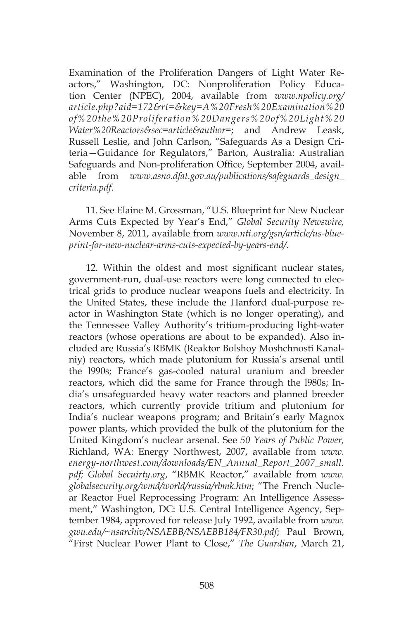Examination of the Proliferation Dangers of Light Water Reactors," Washington, DC: Nonproliferation Policy Education Center (NPEC), 2004, available from *www.npolicy.org/ article.php?aid=172&rt=&key=A%20Fresh%20Examination%20 of%20the%20Proliferation%20Dangers%20of%20Light%20 Water%20Reactors&sec=article&author=*; and Andrew Leask, Russell Leslie, and John Carlson, "Safeguards As a Design Criteria—Guidance for Regulators," Barton, Australia: Australian Safeguards and Non-proliferation Office, September 2004, available from *www.asno.dfat.gov.au/publications/safeguards\_design\_ criteria.pdf*.

11. See Elaine M. Grossman, "U.S. Blueprint for New Nuclear Arms Cuts Expected by Year's End," *Global Security Newswire,* November 8, 2011, available from *www.nti.org/gsn/article/us-blueprint-for-new-nuclear-arms-cuts-expected-by-years-end/.*

12. Within the oldest and most significant nuclear states, government-run, dual-use reactors were long connected to electrical grids to produce nuclear weapons fuels and electricity. In the United States, these include the Hanford dual-purpose reactor in Washington State (which is no longer operating), and the Tennessee Valley Authority's tritium-producing light-water reactors (whose operations are about to be expanded). Also included are Russia's RBMK (Reaktor Bolshoy Moshchnosti Kanalniy) reactors, which made plutonium for Russia's arsenal until the l990s; France's gas-cooled natural uranium and breeder reactors, which did the same for France through the l980s; India's unsafeguarded heavy water reactors and planned breeder reactors, which currently provide tritium and plutonium for India's nuclear weapons program; and Britain's early Magnox power plants, which provided the bulk of the plutonium for the United Kingdom's nuclear arsenal. See *50 Years of Public Power,*  Richland, WA: Energy Northwest, 2007, available from *www. energy-northwest.com/downloads/EN\_Annual\_Report\_2007\_small. pdf; Global Secuirty.org*, "RBMK Reactor," available from *www. globalsecurity.org/wmd/world/russia/rbmk.htm*; "The French Nuclear Reactor Fuel Reprocessing Program: An Intelligence Assessment," Washington, DC: U.S. Central Intelligence Agency, September 1984, approved for release July 1992, available from *www. gwu.edu/~nsarchiv/NSAEBB/NSAEBB184/FR30.pdf*; Paul Brown, "First Nuclear Power Plant to Close," *The Guardian*, March 21,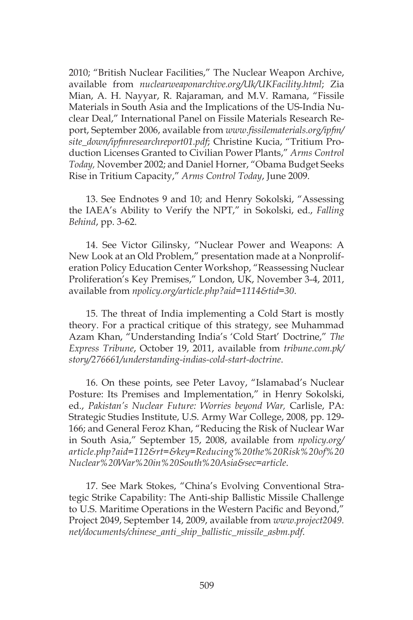2010; "British Nuclear Facilities," The Nuclear Weapon Archive, available from *nuclearweaponarchive.org/Uk/UKFacility.html*; Zia Mian, A. H. Nayyar, R. Rajaraman, and M.V. Ramana, "Fissile Materials in South Asia and the Implications of the US-India Nuclear Deal," International Panel on Fissile Materials Research Report, September 2006, available from *www.fissilematerials.org/ipfm/ site\_down/ipfmresearchreport01.pdf*; Christine Kucia, "Tritium Production Licenses Granted to Civilian Power Plants," *Arms Control Today,* November 2002; and Daniel Horner, "Obama Budget Seeks Rise in Tritium Capacity," *Arms Control Today*, June 2009.

13. See Endnotes 9 and 10; and Henry Sokolski, "Assessing the IAEA's Ability to Verify the NPT," in Sokolski, ed., *Falling Behind*, pp. 3-62.

14. See Victor Gilinsky, "Nuclear Power and Weapons: A New Look at an Old Problem," presentation made at a Nonproliferation Policy Education Center Workshop, "Reassessing Nuclear Proliferation's Key Premises," London, UK, November 3-4, 2011, available from *npolicy.org/article.php?aid=1114&tid=30*.

15. The threat of India implementing a Cold Start is mostly theory. For a practical critique of this strategy, see Muhammad Azam Khan, "Understanding India's 'Cold Start' Doctrine," *The Express Tribune*, October 19, 2011, available from *tribune.com.pk/ story/276661/understanding-indias-cold-start-doctrine*.

16. On these points, see Peter Lavoy, "Islamabad's Nuclear Posture: Its Premises and Implementation," in Henry Sokolski, ed., *Pakistan's Nuclear Future: Worries beyond War,* Carlisle, PA: Strategic Studies Institute, U.S. Army War College, 2008, pp. 129- 166; and General Feroz Khan, "Reducing the Risk of Nuclear War in South Asia," September 15, 2008, available from *npolicy.org/ article.php?aid=112&rt=&key=Reducing%20the%20Risk%20of%20 Nuclear%20War%20in%20South%20Asia&sec=article*.

17. See Mark Stokes, "China's Evolving Conventional Strategic Strike Capability: The Anti-ship Ballistic Missile Challenge to U.S. Maritime Operations in the Western Pacific and Beyond," Project 2049, September 14, 2009, available from *www.project2049. net/documents/chinese\_anti\_ship\_ballistic\_missile\_asbm.pdf*.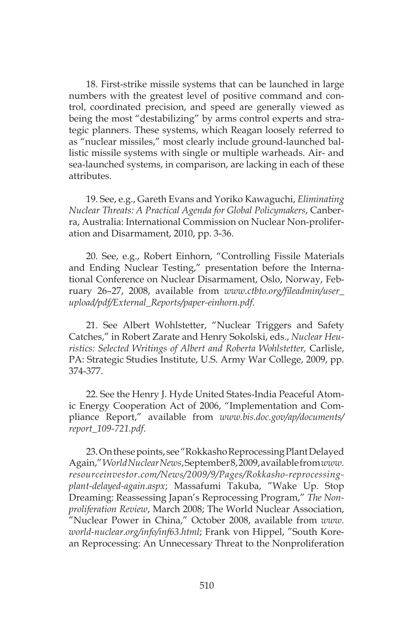18. First-strike missile systems that can be launched in large numbers with the greatest level of positive command and control, coordinated precision, and speed are generally viewed as being the most "destabilizing" by arms control experts and strategic planners. These systems, which Reagan loosely referred to as "nuclear missiles," most clearly include ground-launched ballistic missile systems with single or multiple warheads. Air- and sea-launched systems, in comparison, are lacking in each of these attributes.

19. See, e.g., Gareth Evans and Yoriko Kawaguchi, *Eliminating Nuclear Threats: A Practical Agenda for Global Policymakers*, Canberra, Australia: International Commission on Nuclear Non-proliferation and Disarmament, 2010, pp. 3-36.

20. See, e.g., Robert Einhorn, "Controlling Fissile Materials and Ending Nuclear Testing," presentation before the International Conference on Nuclear Disarmament, Oslo, Norway, February 26–27, 2008, available from *www.ctbto.org/fileadmin/user\_ upload/pdf/External\_Reports/paper-einhorn.pdf*.

21. See Albert Wohlstetter, "Nuclear Triggers and Safety Catches," in Robert Zarate and Henry Sokolski, eds., *Nuclear Heuristics: Selected Writings of Albert and Roberta Wohlstetter,* Carlisle, PA: Strategic Studies Institute, U.S. Army War College, 2009, pp. 374-377.

22. See the Henry J. Hyde United States-India Peaceful Atomic Energy Cooperation Act of 2006, "Implementation and Compliance Report," available from *www.bis.doc.gov/ap/documents/ report\_109-721.pdf*.

23. On these points, see "Rokkasho Reprocessing Plant Delayed Again," *World Nuclear News*, September 8, 2009, available from *www. resourceinvestor.com/News/2009/9/Pages/Rokkasho-reprocessingplant-delayed-again.aspx*; Massafumi Takuba, "Wake Up. Stop Dreaming: Reassessing Japan's Reprocessing Program," *The Nonproliferation Review*, March 2008; The World Nuclear Association, "Nuclear Power in China," October 2008, available from *www. world-nuclear.org/info/inf63.html*; Frank von Hippel, "South Korean Reprocessing: An Unnecessary Threat to the Nonproliferation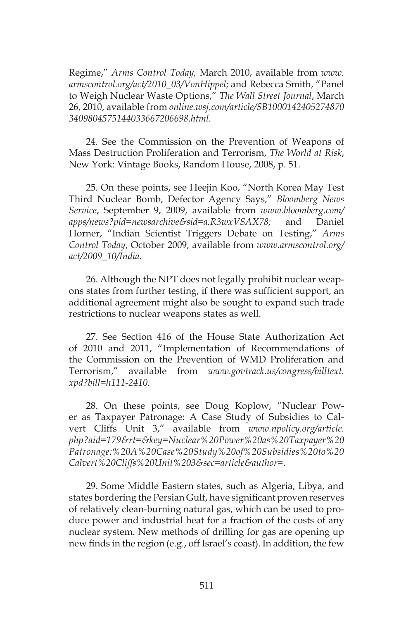Regime," *Arms Control Today,* March 2010, available from *www. armscontrol.org/act/2010\_03/VonHippel*; and Rebecca Smith, "Panel to Weigh Nuclear Waste Options," *The Wall Street Journal*, March 26, 2010, available from *online.wsj.com/article/SB1000142405274870 3409804575144033667206698.html.*

24. See the Commission on the Prevention of Weapons of Mass Destruction Proliferation and Terrorism, *The World at Risk*, New York: Vintage Books, Random House, 2008, p. 51.

25. On these points, see Heejin Koo, "North Korea May Test Third Nuclear Bomb, Defector Agency Says," *Bloomberg News Service*, September 9, 2009, available from *www.bloomberg.com/ apps/news?pid=newsarchive&sid=a.R3wxVSAX78;* and Daniel Horner, "Indian Scientist Triggers Debate on Testing," *Arms Control Today*, October 2009, available from *www.armscontrol.org/ act/2009\_10/India*.

26. Although the NPT does not legally prohibit nuclear weapons states from further testing, if there was sufficient support, an additional agreement might also be sought to expand such trade restrictions to nuclear weapons states as well.

27. See Section 416 of the House State Authorization Act of 2010 and 2011, "Implementation of Recommendations of the Commission on the Prevention of WMD Proliferation and Terrorism," available from *www.govtrack.us/congress/billtext. xpd?bill=h111-2410*.

28. On these points, see Doug Koplow, "Nuclear Power as Taxpayer Patronage: A Case Study of Subsidies to Calvert Cliffs Unit 3," available from *www.npolicy.org/article. php?aid=179&rt=&key=Nuclear%20Power%20as%20Taxpayer%20 Patronage:%20A%20Case%20Study%20of%20Subsidies%20to%20 Calvert%20Cliffs%20Unit%203&sec=article&author=*.

29. Some Middle Eastern states, such as Algeria, Libya, and states bordering the Persian Gulf, have significant proven reserves of relatively clean-burning natural gas, which can be used to produce power and industrial heat for a fraction of the costs of any nuclear system. New methods of drilling for gas are opening up new finds in the region (e.g., off Israel's coast). In addition, the few